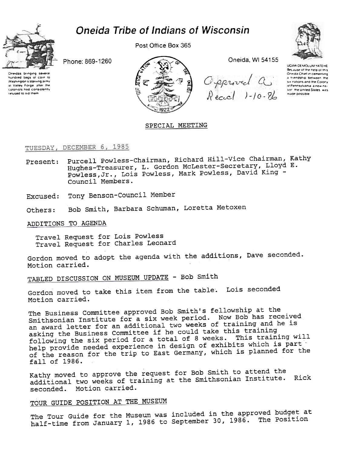# Oneida Tribe of Indians of Wisconsin



Post Office Box 365



Phone: 869-1260

Oneidas bringing several hundred bags of corn to Washington's starving army at Valley Forge, after the colonists had consistently relused to aid them



Oneida, WI 54155

Opprovel a

UGWA DEMOLUM YATEHE Because of the help of this Oneida Chief in cementing a friendship between the six nations and the Colony of Pennsylvania a new na lion, the United States, was made possible

# SPECIAL MEETING

# TUESDAY, DECEMBER 6, 1985

- Present: Purcell Powless-Chairman, Richard Hill-Vice Chairman, Kathy Hughes-Treasurer, L. Gordon McLester-Secretary, Lloyd E. Powless, Jr., Lois Powless, Mark Powless, David King -Council Members.
- Excused: Tony Benson-Council Member
- Bob Smith, Barbara Schuman, Loretta Metoxen Others:

### ADDITIONS TO AGENDA

Travel Request for Lois Powless Travel Request for Charles Leonard

Gordon moved to adopt the agenda with the additions, Dave seconded. Motion carried.

TABLED DISCUSSION ON MUSEUM UPDATE - Bob Smith

Gordon moved to take this item from the table. Lois seconded Motion carried.

The Business Committee approved Bob Smith's fellowship at the Smithsonian Institute for a six week period. Now Bob has received an award letter for an additional two weeks of training and he is asking the Business Committee if he could take this training following the six period for a total of 8 weeks. This training will help provide needed experience in design of exhibits which is part of the reason for the trip to East Germany, which is planned for the fall of 1986.

Kathy moved to approve the request for Bob Smith to attend the additional two weeks of training at the Smithsonian Institute. Rick seconded. Motion carried.

# TOUR GUIDE POSITION AT THE MUSEUM

The Tour Guide for the Museum was included in the approved budget at half-time from January 1, 1986 to September 30, 1986. The Position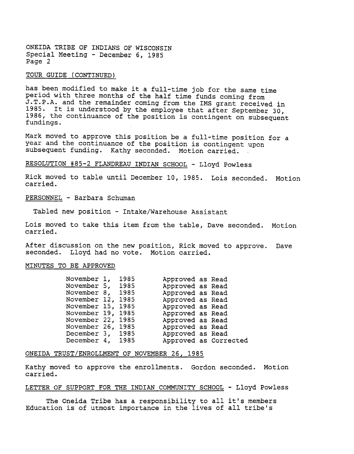ONEIDA TRIBE OF INDIANS OF WISCONSIN Special Meeting - December 6, 1985 Page 2

#### TOUR GUIDE (CONTINUED).

has been modified to make it a full-time job for the same time period with three months of the half time funds coming from J.T.P.A. and the remainder coming from the IMS grant received in 1985. It is understood by the employee that after September 30, 1986, the continuance of the position is contingent on subsequent fundings.

Mark moved to approve this position be a full-time position for a year and the continuance of the position is contingent upon subsequent funding. Kathy seconded. Motion carried.

#### RESOLUTION #85-2 FLANDREAU INDIAN SCHOOL -Lloyd Powless

Rick moved to table until December 10, 1985. Lois seconded. Motion carried.

PERSONNEL - Barbara Schuman

Tabled new position -Intake/Warehouse Assistant

Lois moved to take this item from the table, Dave seconded. Motion carried.

After discussion on the new position, Rick moved to approve. Dave seconded. Lloyd had no vote. Motion carried.

#### MINUTES TO BE APPROVED

| November 1.       | 1985 | Approved as Read |                       |
|-------------------|------|------------------|-----------------------|
| November 5, 1985  |      | Approved as Read |                       |
| November 8,       | 1985 | Approved as Read |                       |
| November 12, 1985 |      | Approved as Read |                       |
| November 15, 1985 |      | Approved as Read |                       |
| November 19, 1985 |      | Approved as Read |                       |
| November 22, 1985 |      | Approved as Read |                       |
| November 26, 1985 |      | Approved as Read |                       |
| December 3, 1985  |      | Approved as Read |                       |
| December 4, 1985  |      |                  | Approved as Corrected |

#### ONEIDA TRUST/ENROLLMENT OF NOVEMBER 26, 1985

Kathy moved to approve the enrollments. Gordon seconded. Motion carried.

#### LETTER OF SUPPORT FOR THE INDIAN COMMUNITY SCHOOL -Lloyd Powless

The Oneida Tribe has a responsibility to all it's members Education is of utmost importance in the lives of all tribe's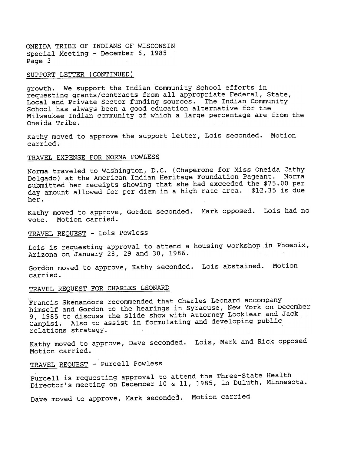ONEIDA TRIBE OF INDIANS OF WISCONSIN Special Meeting - December 6, 1985 Page 3

# SUPPORT LETTER (CONTINUED)

growth. We support the Indian Community School efforts in requesting grants/contracts from all appropriate Federal, State, Local and Private Sector funding sources. The Indian Community School has always been a good education alternative for the Milwaukee Indian community of which a large percentage are from the Oneida Tribe.

Kathy moved to approve the support letter, Lois seconded. Motion carried.

### TRAVEL EXPENSE FOR NORMA POWLESS

Norma traveled to Washington, D.C. (Chaperone for Miss Oneida Cathy Delgado) at the American Indian Heritage Foundation Pageant. Norma submitted her receipts showing that she had exceeded the \$75.00 per day amount allowed for per diem in a high rate area. \$12.35 is due her.

Kathy moved to approve, Gordon seconded. Mark opposed. Lois had no vote. Motion carried.

TRAVEL REQUEST - Lois Powless

Lois is requesting approval to attend a housing workshop in Phoenix, Arizona on January 28, 29 and 30, 1986.

Gordon moved to approve, Kathy seconded. Lois abstained. Motion carried.

# TRAVEL REQUEST FOR CHARLES LEONARD

Francis Skenandore recommended that Charles Leonard accompany himself and Gordon to the hearings in Syracuse, New York on December 9, 1985 to discuss the slide show with Attorney Locklear and Jack<br>Campisi. Also to assist in formulating and developing public relations strategy.

Kathy moved to approve, Dave seconded. Lois, Mark and Rick opposed Motion carried.

# TRAVEL REQUEST - Purcell Powless

Purcell is requesting approval to attend the Three-State Health Director's meeting on December 10 & 11, 1985, in Duluth, Minnesota.

Dave moved to approve, Mark seconded. Motion carried